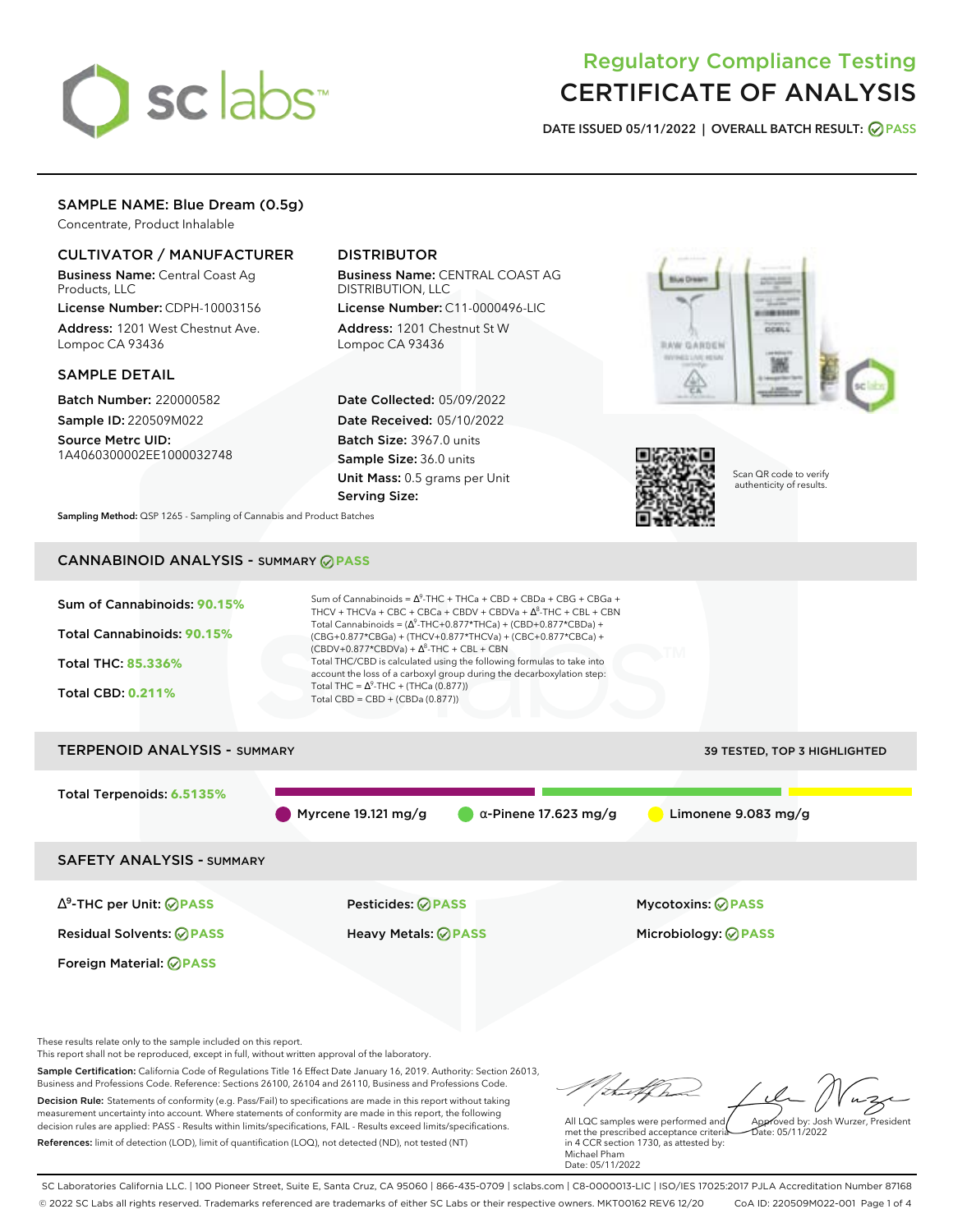# sclabs<sup>\*</sup>

# Regulatory Compliance Testing CERTIFICATE OF ANALYSIS

**DATE ISSUED 05/11/2022 | OVERALL BATCH RESULT: PASS**

# SAMPLE NAME: Blue Dream (0.5g)

Concentrate, Product Inhalable

# CULTIVATOR / MANUFACTURER

Business Name: Central Coast Ag Products, LLC

License Number: CDPH-10003156 Address: 1201 West Chestnut Ave. Lompoc CA 93436

# SAMPLE DETAIL

Batch Number: 220000582 Sample ID: 220509M022

Source Metrc UID: 1A4060300002EE1000032748

# DISTRIBUTOR

Business Name: CENTRAL COAST AG DISTRIBUTION, LLC License Number: C11-0000496-LIC

Address: 1201 Chestnut St W Lompoc CA 93436

Date Collected: 05/09/2022 Date Received: 05/10/2022 Batch Size: 3967.0 units Sample Size: 36.0 units Unit Mass: 0.5 grams per Unit Serving Size:





Scan QR code to verify authenticity of results.

**Sampling Method:** QSP 1265 - Sampling of Cannabis and Product Batches

# CANNABINOID ANALYSIS - SUMMARY **PASS**



This report shall not be reproduced, except in full, without written approval of the laboratory.

Sample Certification: California Code of Regulations Title 16 Effect Date January 16, 2019. Authority: Section 26013, Business and Professions Code. Reference: Sections 26100, 26104 and 26110, Business and Professions Code. Decision Rule: Statements of conformity (e.g. Pass/Fail) to specifications are made in this report without taking measurement uncertainty into account. Where statements of conformity are made in this report, the following decision rules are applied: PASS - Results within limits/specifications, FAIL - Results exceed limits/specifications.

References: limit of detection (LOD), limit of quantification (LOQ), not detected (ND), not tested (NT)

Approved by: Josh Wurzer, President

Date: 05/11/2022

All LQC samples were performed and met the prescribed acceptance criteria in 4 CCR section 1730, as attested by: Michael Pham Date: 05/11/2022

SC Laboratories California LLC. | 100 Pioneer Street, Suite E, Santa Cruz, CA 95060 | 866-435-0709 | sclabs.com | C8-0000013-LIC | ISO/IES 17025:2017 PJLA Accreditation Number 87168 © 2022 SC Labs all rights reserved. Trademarks referenced are trademarks of either SC Labs or their respective owners. MKT00162 REV6 12/20 CoA ID: 220509M022-001 Page 1 of 4